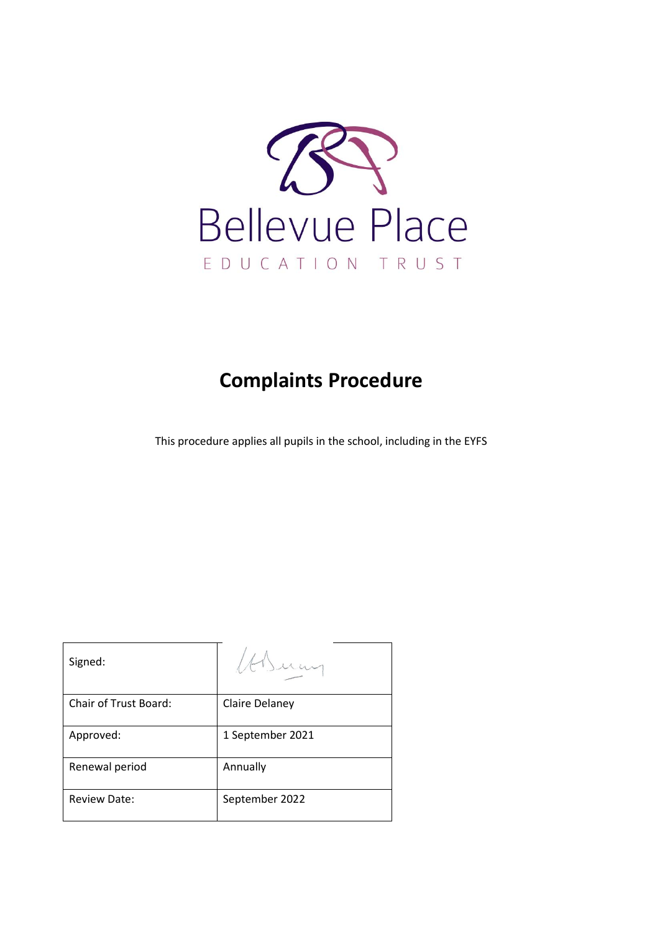

# **Complaints Procedure**

This procedure applies all pupils in the school, including in the EYFS

| Signed:                      |                  |
|------------------------------|------------------|
| <b>Chair of Trust Board:</b> | Claire Delaney   |
| Approved:                    | 1 September 2021 |
| Renewal period               | Annually         |
| <b>Review Date:</b>          | September 2022   |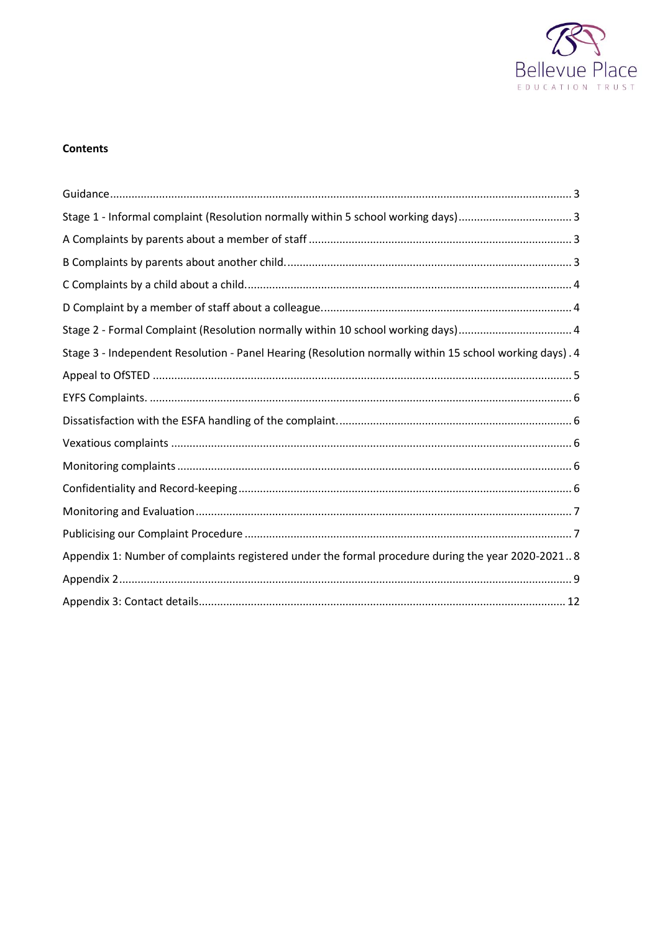

# **Contents**

| Stage 2 - Formal Complaint (Resolution normally within 10 school working days) 4                        |
|---------------------------------------------------------------------------------------------------------|
| Stage 3 - Independent Resolution - Panel Hearing (Resolution normally within 15 school working days). 4 |
|                                                                                                         |
|                                                                                                         |
|                                                                                                         |
|                                                                                                         |
|                                                                                                         |
|                                                                                                         |
|                                                                                                         |
|                                                                                                         |
| Appendix 1: Number of complaints registered under the formal procedure during the year 2020-20218       |
|                                                                                                         |
|                                                                                                         |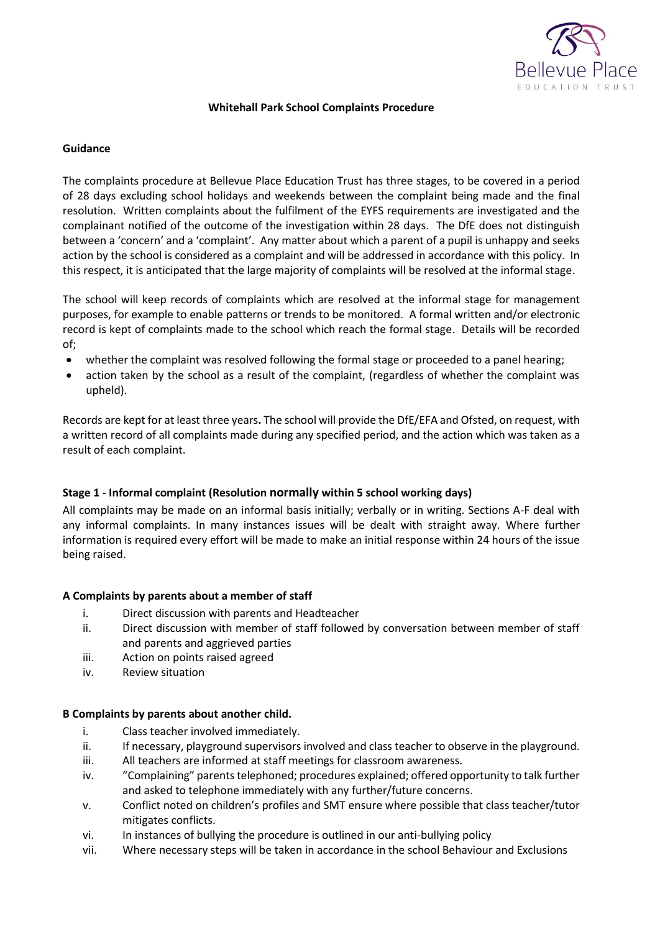

## **Whitehall Park School Complaints Procedure**

#### <span id="page-2-0"></span>**Guidance**

The complaints procedure at Bellevue Place Education Trust has three stages, to be covered in a period of 28 days excluding school holidays and weekends between the complaint being made and the final resolution. Written complaints about the fulfilment of the EYFS requirements are investigated and the complainant notified of the outcome of the investigation within 28 days. The DfE does not distinguish between a 'concern' and a 'complaint'. Any matter about which a parent of a pupil is unhappy and seeks action by the school is considered as a complaint and will be addressed in accordance with this policy. In this respect, it is anticipated that the large majority of complaints will be resolved at the informal stage.

The school will keep records of complaints which are resolved at the informal stage for management purposes, for example to enable patterns or trends to be monitored. A formal written and/or electronic record is kept of complaints made to the school which reach the formal stage. Details will be recorded of;

- whether the complaint was resolved following the formal stage or proceeded to a panel hearing;
- action taken by the school as a result of the complaint, (regardless of whether the complaint was upheld).

Records are kept for at least three years**.** The school will provide the DfE/EFA and Ofsted, on request, with a written record of all complaints made during any specified period, and the action which was taken as a result of each complaint.

# <span id="page-2-1"></span>**Stage 1 - Informal complaint (Resolution normally within 5 school working days)**

All complaints may be made on an informal basis initially; verbally or in writing. Sections A-F deal with any informal complaints. In many instances issues will be dealt with straight away. Where further information is required every effort will be made to make an initial response within 24 hours of the issue being raised.

#### <span id="page-2-2"></span>**A Complaints by parents about a member of staff**

- i. Direct discussion with parents and Headteacher
- ii. Direct discussion with member of staff followed by conversation between member of staff and parents and aggrieved parties
- iii. Action on points raised agreed
- <span id="page-2-3"></span>iv. Review situation

#### **B Complaints by parents about another child.**

- i. Class teacher involved immediately.
- ii. If necessary, playground supervisors involved and class teacher to observe in the playground.
- iii. All teachers are informed at staff meetings for classroom awareness.
- iv. "Complaining" parents telephoned; procedures explained; offered opportunity to talk further and asked to telephone immediately with any further/future concerns.
- v. Conflict noted on children's profiles and SMT ensure where possible that class teacher/tutor mitigates conflicts.
- vi. In instances of bullying the procedure is outlined in our anti-bullying policy
- vii. Where necessary steps will be taken in accordance in the school Behaviour and Exclusions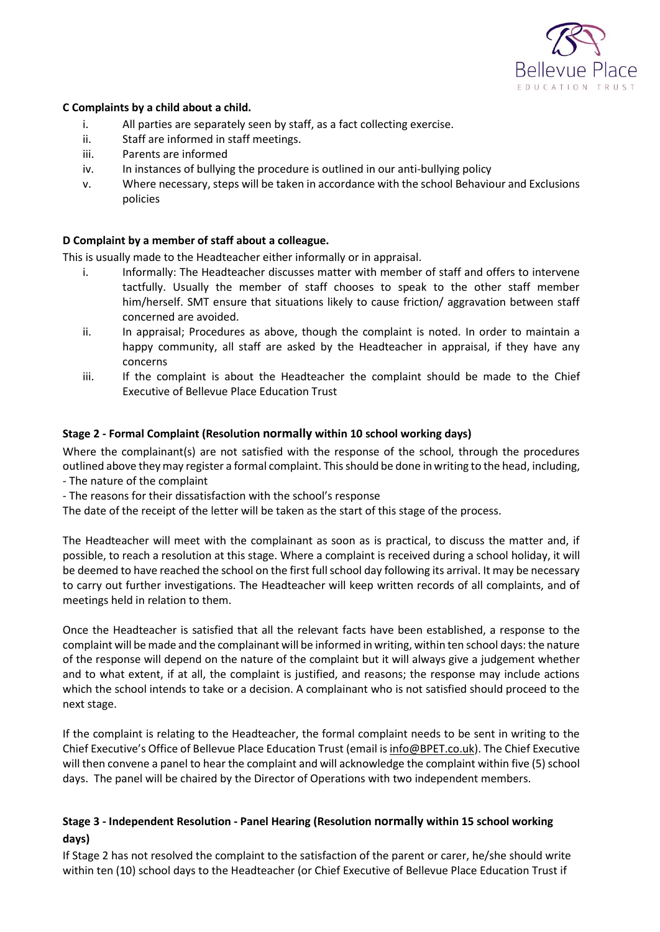

## <span id="page-3-0"></span>**C Complaints by a child about a child.**

- i. All parties are separately seen by staff, as a fact collecting exercise.
- ii. Staff are informed in staff meetings.
- iii. Parents are informed
- iv. In instances of bullying the procedure is outlined in our anti-bullying policy
- v. Where necessary, steps will be taken in accordance with the school Behaviour and Exclusions policies

#### <span id="page-3-1"></span>**D Complaint by a member of staff about a colleague.**

This is usually made to the Headteacher either informally or in appraisal.

- i. Informally: The Headteacher discusses matter with member of staff and offers to intervene tactfully. Usually the member of staff chooses to speak to the other staff member him/herself. SMT ensure that situations likely to cause friction/ aggravation between staff concerned are avoided.
- ii. In appraisal; Procedures as above, though the complaint is noted. In order to maintain a happy community, all staff are asked by the Headteacher in appraisal, if they have any concerns
- iii. If the complaint is about the Headteacher the complaint should be made to the Chief Executive of Bellevue Place Education Trust

## <span id="page-3-2"></span>**Stage 2 - Formal Complaint (Resolution normally within 10 school working days)**

Where the complainant(s) are not satisfied with the response of the school, through the procedures outlined above they may register a formal complaint. This should be done in writing to the head, including, - The nature of the complaint

- The reasons for their dissatisfaction with the school's response

The date of the receipt of the letter will be taken as the start of this stage of the process.

The Headteacher will meet with the complainant as soon as is practical, to discuss the matter and, if possible, to reach a resolution at this stage. Where a complaint is received during a school holiday, it will be deemed to have reached the school on the first full school day following its arrival. It may be necessary to carry out further investigations. The Headteacher will keep written records of all complaints, and of meetings held in relation to them.

Once the Headteacher is satisfied that all the relevant facts have been established, a response to the complaint will be made and the complainant will be informed in writing, within ten school days: the nature of the response will depend on the nature of the complaint but it will always give a judgement whether and to what extent, if at all, the complaint is justified, and reasons; the response may include actions which the school intends to take or a decision. A complainant who is not satisfied should proceed to the next stage.

If the complaint is relating to the Headteacher, the formal complaint needs to be sent in writing to the Chief Executive's Office of Bellevue Place Education Trust (email is [info@BPET.co.uk\)](mailto:info@BPET.co.uk). The Chief Executive will then convene a panel to hear the complaint and will acknowledge the complaint within five (5) school days. The panel will be chaired by the Director of Operations with two independent members.

# <span id="page-3-3"></span>**Stage 3 - Independent Resolution - Panel Hearing (Resolution normally within 15 school working days)**

If Stage 2 has not resolved the complaint to the satisfaction of the parent or carer, he/she should write within ten (10) school days to the Headteacher (or Chief Executive of Bellevue Place Education Trust if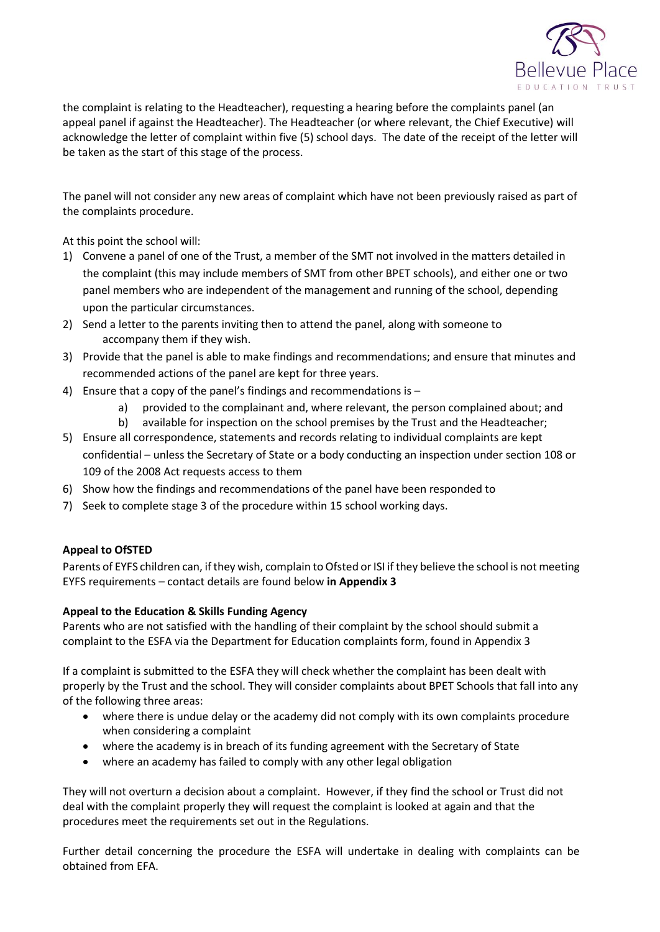

the complaint is relating to the Headteacher), requesting a hearing before the complaints panel (an appeal panel if against the Headteacher). The Headteacher (or where relevant, the Chief Executive) will acknowledge the letter of complaint within five (5) school days. The date of the receipt of the letter will be taken as the start of this stage of the process.

The panel will not consider any new areas of complaint which have not been previously raised as part of the complaints procedure.

At this point the school will:

- 1) Convene a panel of one of the Trust, a member of the SMT not involved in the matters detailed in the complaint (this may include members of SMT from other BPET schools), and either one or two panel members who are independent of the management and running of the school, depending upon the particular circumstances.
- 2) Send a letter to the parents inviting then to attend the panel, along with someone to accompany them if they wish.
- 3) Provide that the panel is able to make findings and recommendations; and ensure that minutes and recommended actions of the panel are kept for three years.
- 4) Ensure that a copy of the panel's findings and recommendations is
	- a) provided to the complainant and, where relevant, the person complained about; and
	- b) available for inspection on the school premises by the Trust and the Headteacher;
- 5) Ensure all correspondence, statements and records relating to individual complaints are kept confidential – unless the Secretary of State or a body conducting an inspection under section 108 or 109 of the 2008 Act requests access to them
- 6) Show how the findings and recommendations of the panel have been responded to
- 7) Seek to complete stage 3 of the procedure within 15 school working days.

#### <span id="page-4-0"></span>**Appeal to OfSTED**

Parents of EYFS children can, if they wish, complain to Ofsted or ISI if they believe the school is not meeting EYFS requirements – contact details are found below **in Appendix 3**

#### **Appeal to the Education & Skills Funding Agency**

Parents who are not satisfied with the handling of their complaint by the school should submit a complaint to the ESFA via the Department for Education complaints form, found in Appendix 3

If a complaint is submitted to the ESFA they will check whether the complaint has been dealt with properly by the Trust and the school. They will consider complaints about BPET Schools that fall into any of the following three areas:

- where there is undue delay or the academy did not comply with its own complaints procedure when considering a complaint
- where the academy is in breach of its funding agreement with the Secretary of State
- where an academy has failed to comply with any other legal obligation

They will not overturn a decision about a complaint. However, if they find the school or Trust did not deal with the complaint properly they will request the complaint is looked at again and that the procedures meet the requirements set out in the Regulations.

Further detail concerning the procedure the ESFA will undertake in dealing with complaints can be obtained from EFA.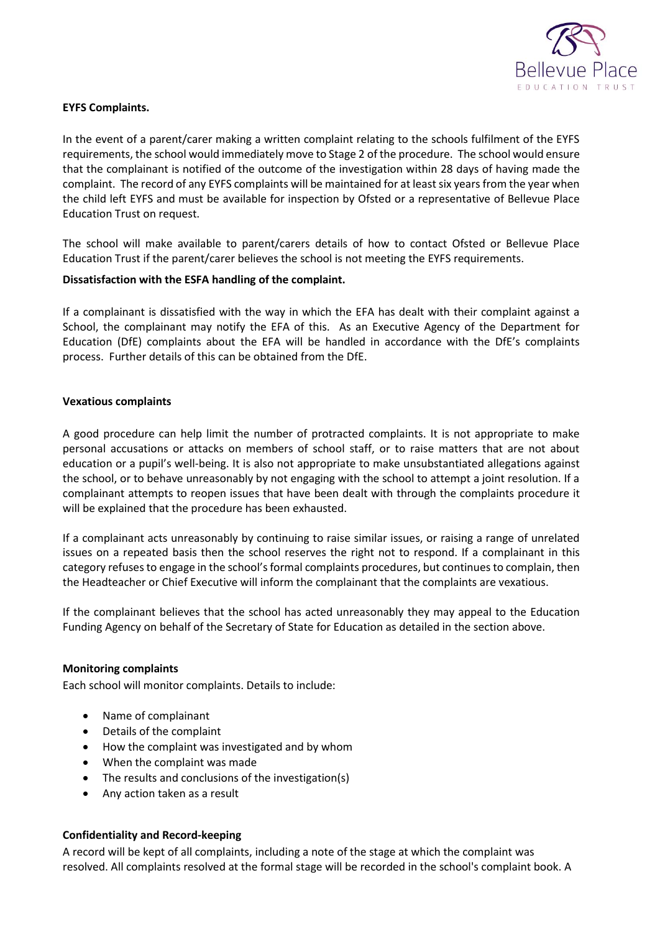

## <span id="page-5-0"></span>**EYFS Complaints.**

In the event of a parent/carer making a written complaint relating to the schools fulfilment of the EYFS requirements, the school would immediately move to Stage 2 of the procedure. The school would ensure that the complainant is notified of the outcome of the investigation within 28 days of having made the complaint. The record of any EYFS complaints will be maintained for at least six years from the year when the child left EYFS and must be available for inspection by Ofsted or a representative of Bellevue Place Education Trust on request.

The school will make available to parent/carers details of how to contact Ofsted or Bellevue Place Education Trust if the parent/carer believes the school is not meeting the EYFS requirements.

#### <span id="page-5-1"></span>**Dissatisfaction with the ESFA handling of the complaint.**

If a complainant is dissatisfied with the way in which the EFA has dealt with their complaint against a School, the complainant may notify the EFA of this. As an Executive Agency of the Department for Education (DfE) complaints about the EFA will be handled in accordance with the DfE's complaints process. Further details of this can be obtained from the DfE.

#### <span id="page-5-2"></span>**Vexatious complaints**

A good procedure can help limit the number of protracted complaints. It is not appropriate to make personal accusations or attacks on members of school staff, or to raise matters that are not about education or a pupil's well-being. It is also not appropriate to make unsubstantiated allegations against the school, or to behave unreasonably by not engaging with the school to attempt a joint resolution. If a complainant attempts to reopen issues that have been dealt with through the complaints procedure it will be explained that the procedure has been exhausted.

If a complainant acts unreasonably by continuing to raise similar issues, or raising a range of unrelated issues on a repeated basis then the school reserves the right not to respond. If a complainant in this category refuses to engage in the school's formal complaints procedures, but continues to complain, then the Headteacher or Chief Executive will inform the complainant that the complaints are vexatious.

If the complainant believes that the school has acted unreasonably they may appeal to the Education Funding Agency on behalf of the Secretary of State for Education as detailed in the section above.

#### <span id="page-5-3"></span>**Monitoring complaints**

Each school will monitor complaints. Details to include:

- Name of complainant
- Details of the complaint
- How the complaint was investigated and by whom
- When the complaint was made
- The results and conclusions of the investigation(s)
- <span id="page-5-4"></span>Any action taken as a result

#### **Confidentiality and Record-keeping**

A record will be kept of all complaints, including a note of the stage at which the complaint was resolved. All complaints resolved at the formal stage will be recorded in the school's complaint book. A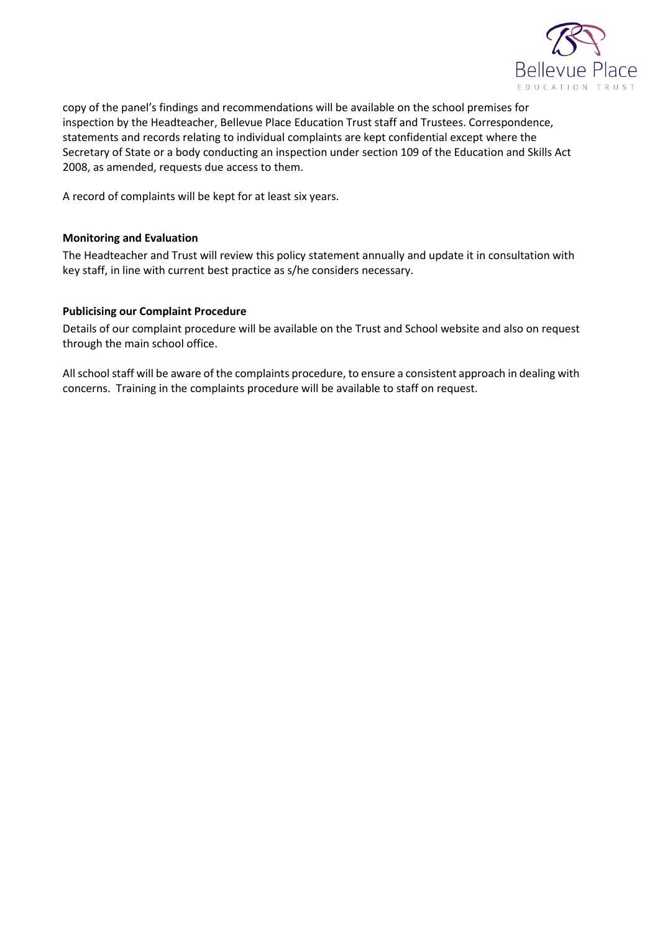

copy of the panel's findings and recommendations will be available on the school premises for inspection by the Headteacher, Bellevue Place Education Trust staff and Trustees. Correspondence, statements and records relating to individual complaints are kept confidential except where the Secretary of State or a body conducting an inspection under section 109 of the Education and Skills Act 2008, as amended, requests due access to them.

<span id="page-6-0"></span>A record of complaints will be kept for at least six years.

#### **Monitoring and Evaluation**

The Headteacher and Trust will review this policy statement annually and update it in consultation with key staff, in line with current best practice as s/he considers necessary.

#### <span id="page-6-1"></span>**Publicising our Complaint Procedure**

Details of our complaint procedure will be available on the Trust and School website and also on request through the main school office.

All school staff will be aware of the complaints procedure, to ensure a consistent approach in dealing with concerns. Training in the complaints procedure will be available to staff on request.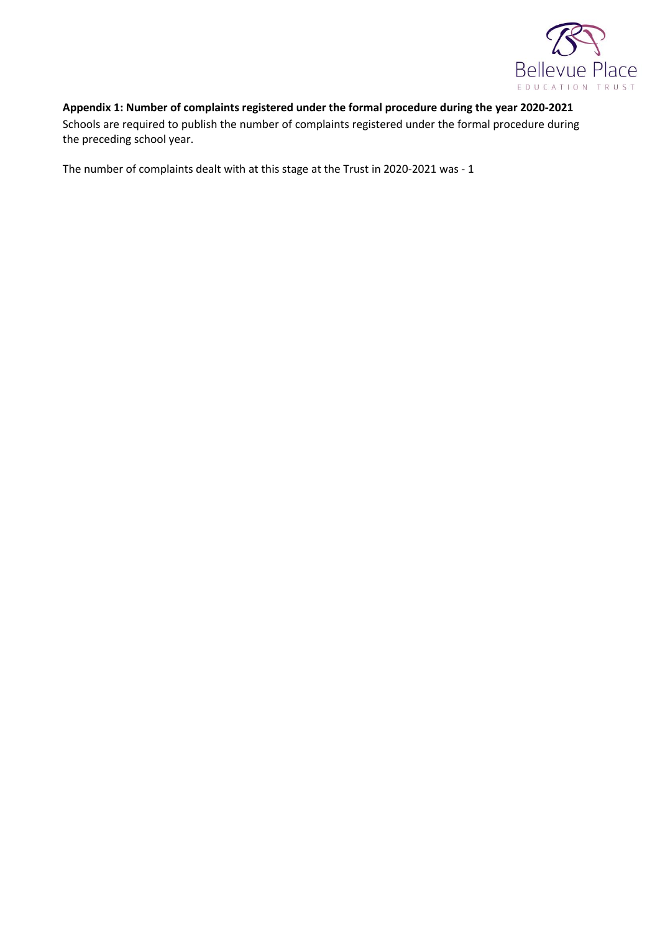

# <span id="page-7-0"></span>**Appendix 1: Number of complaints registered under the formal procedure during the year 2020-2021**

Schools are required to publish the number of complaints registered under the formal procedure during the preceding school year.

The number of complaints dealt with at this stage at the Trust in 2020-2021 was - 1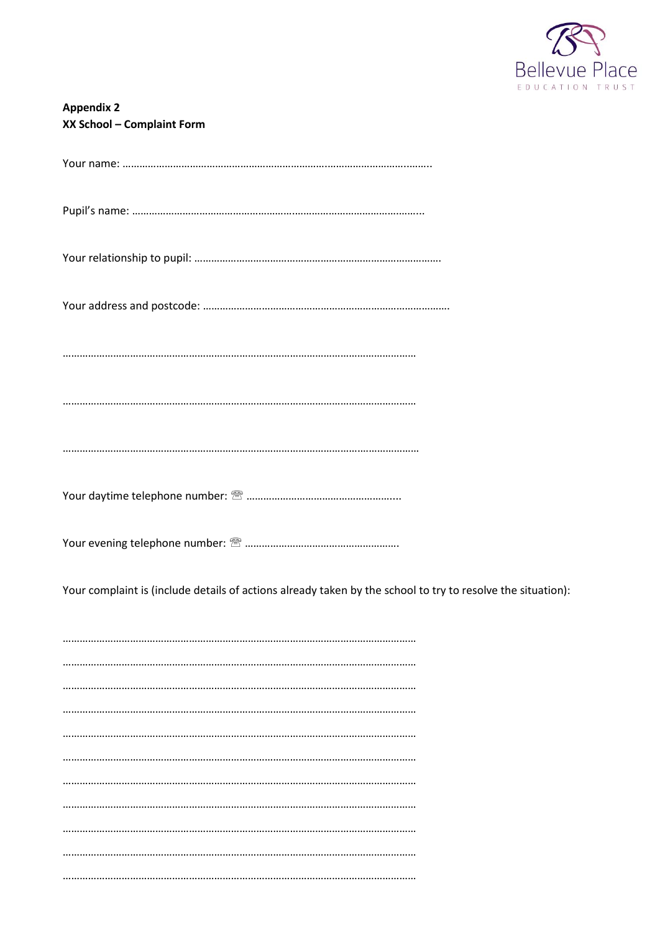

<span id="page-8-0"></span>

| <b>Appendix 2</b><br>XX School - Complaint Form |
|-------------------------------------------------|
|                                                 |
|                                                 |
|                                                 |
|                                                 |
|                                                 |
|                                                 |

Your complaint is (include details of actions already taken by the school to try to resolve the situation):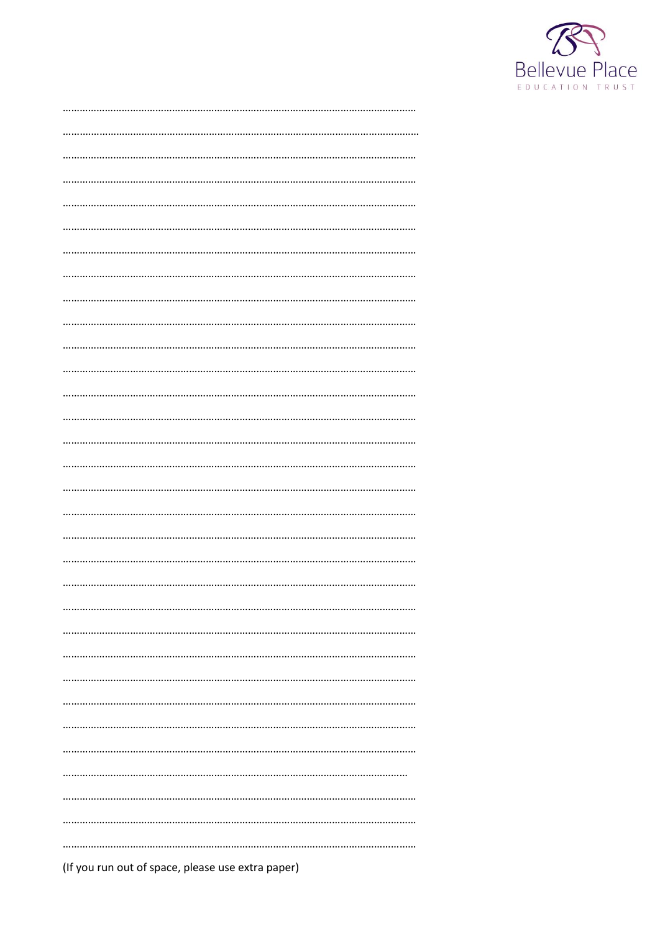

| (If you run out of space, please use extra paper) |
|---------------------------------------------------|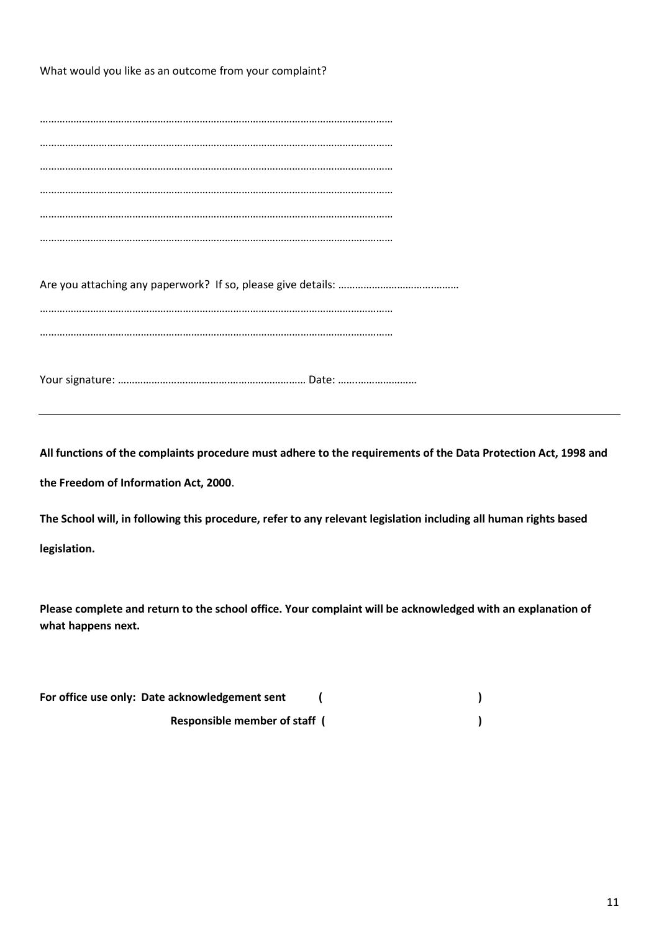What would you like as an outcome from your complaint?

**All functions of the complaints procedure must adhere to the requirements of the Data Protection Act, 1998 and the Freedom of Information Act, 2000**.

**The School will, in following this procedure, refer to any relevant legislation including all human rights based legislation.**

**Please complete and return to the school office. Your complaint will be acknowledged with an explanation of what happens next.**

| For office use only: Date acknowledgement sent |  |
|------------------------------------------------|--|
| <b>Responsible member of staff</b> (           |  |